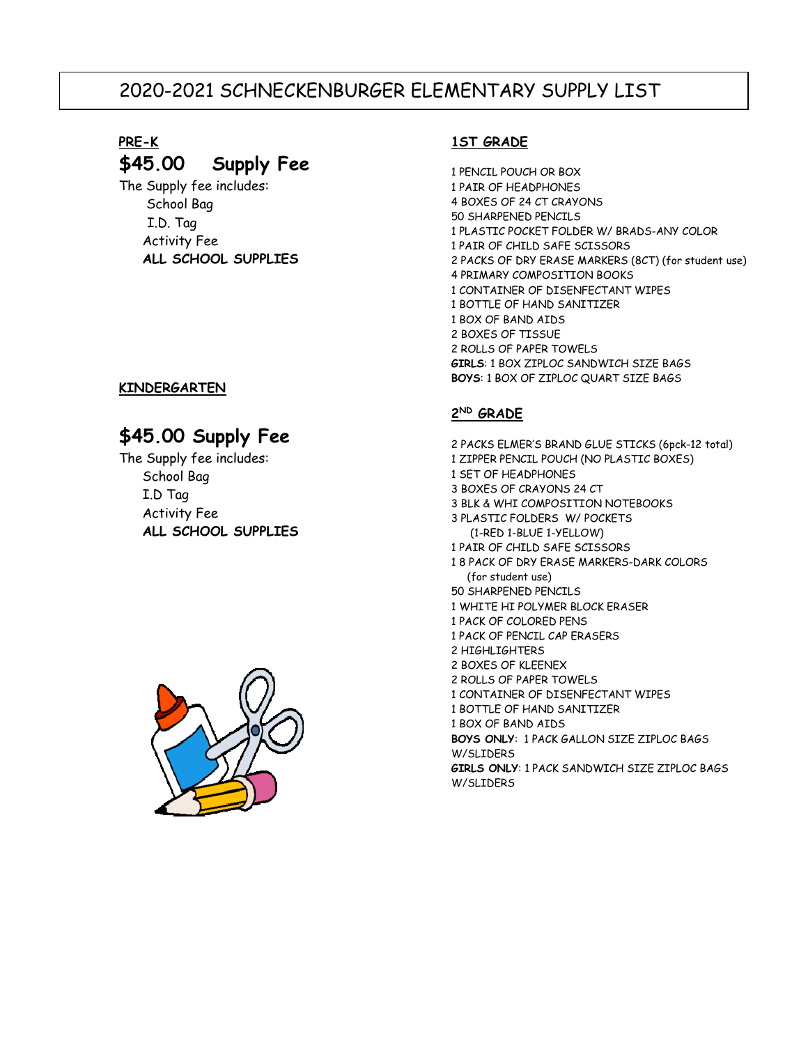## 2020-2021 SCHNECKENBURGER ELEMENTARY SUPPLY LIST

# **PRE-K**

## **\$45.00 Supply Fee**

The Supply fee includes: School Bag I.D. Tag Activity Fee **ALL SCHOOL SUPPLIES** 

### **KINDERGARTEN**

### **\$45.00 Supply Fee**

The Supply fee includes: School Bag I.D Tag Activity Fee **ALL SCHOOL SUPPLIES**



### **1ST GRADE**

1 PENCIL POUCH OR BOX 1 PAIR OF HEADPHONES 4 BOXES OF 24 CT CRAYONS 50 SHARPENED PENCILS 1 PLASTIC POCKET FOLDER W/ BRADS-ANY COLOR 1 PAIR OF CHILD SAFE SCISSORS 2 PACKS OF DRY ERASE MARKERS (8CT) (for student use) 4 PRIMARY COMPOSITION BOOKS 1 CONTAINER OF DISENFECTANT WIPES 1 BOTTLE OF HAND SANITIZER 1 BOX OF BAND AIDS 2 BOXES OF TISSUE 2 ROLLS OF PAPER TOWELS **GIRLS**: 1 BOX ZIPLOC SANDWICH SIZE BAGS **BOYS**: 1 BOX OF ZIPLOC QUART SIZE BAGS

### **2 ND GRADE**

2 PACKS ELMER'S BRAND GLUE STICKS (6pck-12 total) 1 ZIPPER PENCIL POUCH (NO PLASTIC BOXES) 1 SET OF HEADPHONES 3 BOXES OF CRAYONS 24 CT 3 BLK & WHI COMPOSITION NOTEBOOKS 3 PLASTIC FOLDERS W/ POCKETS (1-RED 1-BLUE 1-YELLOW) 1 PAIR OF CHILD SAFE SCISSORS 1 8 PACK OF DRY ERASE MARKERS-DARK COLORS (for student use) 50 SHARPENED PENCILS 1 WHITE HI POLYMER BLOCK ERASER 1 PACK OF COLORED PENS 1 PACK OF PENCIL CAP ERASERS 2 HIGHLIGHTERS 2 BOXES OF KLEENEX 2 ROLLS OF PAPER TOWELS 1 CONTAINER OF DISENFECTANT WIPES 1 BOTTLE OF HAND SANITIZER 1 BOX OF BAND AIDS **BOYS ONLY**: 1 PACK GALLON SIZE ZIPLOC BAGS W/SLIDERS **GIRLS ONLY**: 1 PACK SANDWICH SIZE ZIPLOC BAGS W/SLIDERS